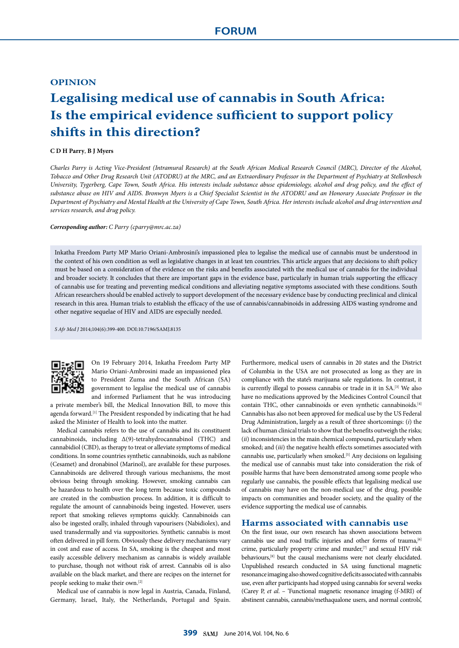## **OPINION**

# **Legalising medical use of cannabis in South Africa: Is the empirical evidence sufficient to support policy shifts in this direction?**

### **C D H Parry**, **B J Myers**

*Charles Parry is Acting Vice-President (Intramural Research) at the South African Medical Research Council (MRC), Director of the Alcohol, Tobacco and Other Drug Research Unit (ATODRU) at the MRC, and an Extraordinary Professor in the Department of Psychiatry at Stellenbosch University, Tygerberg, Cape Town, South Africa. His interests include substance abuse epidemiology, alcohol and drug policy, and the effect of substance abuse on HIV and AIDS. Bronwyn Myers is a Chief Specialist Scientist in the ATODRU and an Honorary Associate Professor in the Department of Psychiatry and Mental Health at the University of Cape Town, South Africa. Her interests include alcohol and drug intervention and services research, and drug policy.*

#### *Corresponding author: C Parry ([cparry@mrc.ac.za\)](mailto:cparry@mrc.ac.za)*

Inkatha Freedom Party MP Mario Oriani-Ambrosini's impassioned plea to legalise the medical use of cannabis must be understood in the context of his own condition as well as legislative changes in at least ten countries. This article argues that any decisions to shift policy must be based on a consideration of the evidence on the risks and benefits associated with the medical use of cannabis for the individual and broader society. It concludes that there are important gaps in the evidence base, particularly in human trials supporting the efficacy of cannabis use for treating and preventing medical conditions and alleviating negative symptoms associated with these conditions. South African researchers should be enabled actively to support development of the necessary evidence base by conducting preclinical and clinical research in this area. Human trials to establish the efficacy of the use of cannabis/cannabinoids in addressing AIDS wasting syndrome and other negative sequelae of HIV and AIDS are especially needed.

*S Afr Med J* 2014;104(6):399-400. DOI:10.7196/SAMJ.8135



On 19 February 2014, Inkatha Freedom Party MP Mario Oriani-Ambrosini made an impassioned plea to President Zuma and the South African (SA) government to legalise the medical use of cannabis and informed Parliament that he was introducing

a private member's bill, the Medical Innovation Bill, to move this agenda forward.<sup>[1]</sup> The President responded by indicating that he had asked the Minister of Health to look into the matter.

Medical cannabis refers to the use of cannabis and its constituent cannabinoids, including Δ(9)-tetrahydrocannabinol (THC) and cannabidiol (CBD), as therapy to treat or alleviate symptoms of medical conditions. In some countries synthetic cannabinoids, such as nabilone (Cesamet) and dronabinol (Marinol), are available for these purposes. Cannabinoids are delivered through various mechanisms, the most obvious being through smoking. However, smoking cannabis can be hazardous to health over the long term because toxic compounds are created in the combustion process. In addition, it is difficult to regulate the amount of cannabinoids being ingested. However, users report that smoking relieves symptoms quickly. Cannabinoids can also be ingested orally, inhaled through vapourisers (Nabidiolex), and used transdermally and via suppositories. Synthetic cannabis is most often delivered in pill form. Obviously these delivery mechanisms vary in cost and ease of access. In SA, smoking is the cheapest and most easily accessible delivery mechanism as cannabis is widely available to purchase, though not without risk of arrest. Cannabis oil is also available on the black market, and there are recipes on the internet for people seeking to make their own.[2]

Medical use of cannabis is now legal in Austria, Canada, Finland, Germany, Israel, Italy, the Netherlands, Portugal and Spain.

Furthermore, medical users of cannabis in 20 states and the District of Columbia in the USA are not prosecuted as long as they are in compliance with the state's marijuana sale regulations. In contrast, it is currently illegal to possess cannabis or trade in it in SA.[3] We also have no medications approved by the Medicines Control Council that contain THC, other cannabinoids or even synthetic cannabinoids.[4] Cannabis has also not been approved for medical use by the US Federal Drug Administration, largely as a result of three shortcomings: (*i*) the lack of human clinical trials to show that the benefits outweigh the risks; (*ii*) inconsistencies in the main chemical compound, particularly when smoked; and (*iii*) the negative health effects sometimes associated with cannabis use, particularly when smoked.[5] Any decisions on legalising the medical use of cannabis must take into consideration the risk of possible harms that have been demonstrated among some people who regularly use cannabis, the possible effects that legalising medical use of cannabis may have on the non-medical use of the drug, possible impacts on communities and broader society, and the quality of the evidence supporting the medical use of cannabis.

### **Harms associated with cannabis use**

On the first issue, our own research has shown associations between cannabis use and road traffic injuries and other forms of trauma,<sup>[6]</sup> crime, particularly property crime and murder,<sup>[7]</sup> and sexual HIV risk behaviours,<sup>[8]</sup> but the causal mechanisms were not clearly elucidated. Unpublished research conducted in SA using functional magnetic resonance imaging also showed cognitive deficits associated with cannabis use, even after participants had stopped using cannabis for several weeks (Carey P, *et al*. – 'Functional magnetic resonance imaging (f-MRI) of abstinent cannabis, cannabis/methaqualone users, and normal controls',